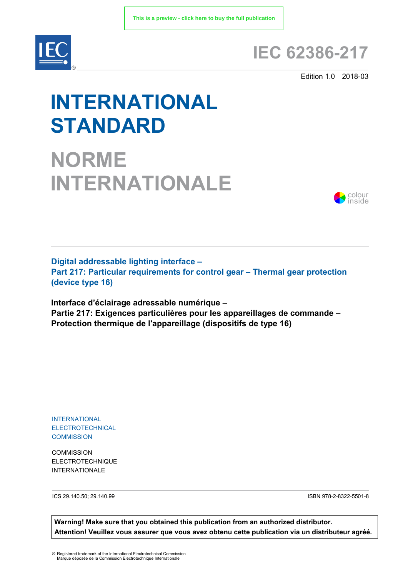

## **IEC 62386-217**

Edition 1.0 2018-03

# **INTERNATIONAL STANDARD**

**NORME INTERNATIONALE**



**Digital addressable lighting interface – Part 217: Particular requirements for control gear – Thermal gear protection (device type 16)**

**Interface d'éclairage adressable numérique – Partie 217: Exigences particulières pour les appareillages de commande – Protection thermique de l'appareillage (dispositifs de type 16)**

INTERNATIONAL ELECTROTECHNICAL **COMMISSION** 

**COMMISSION** ELECTROTECHNIQUE INTERNATIONALE

ICS 29.140.50; 29.140.99 ISBN 978-2-8322-5501-8

**Warning! Make sure that you obtained this publication from an authorized distributor. Attention! Veuillez vous assurer que vous avez obtenu cette publication via un distributeur agréé.**

® Registered trademark of the International Electrotechnical Commission Marque déposée de la Commission Electrotechnique Internationale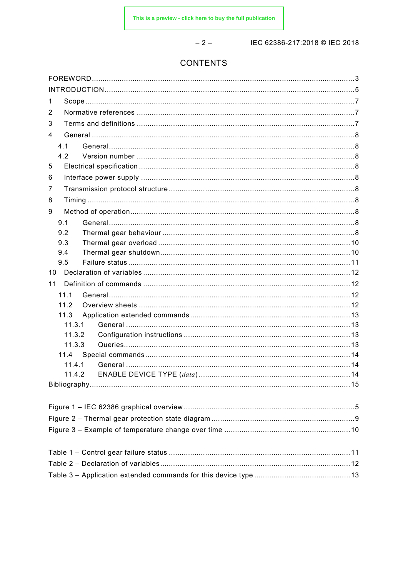$-2-$ 

IEC 62386-217:2018 © IEC 2018

## **CONTENTS**

| 1<br>2<br>3<br>4<br>4.1<br>4.2<br>5<br>6<br>7<br>8<br>9<br>9.1<br>9.2<br>9.3<br>9.4<br>9.5<br>10<br>11<br>11.1<br>11.2<br>11.3<br>11.3.1<br>11.3.2<br>11.3.3<br>11.4.1<br>11.4.2 |  |
|----------------------------------------------------------------------------------------------------------------------------------------------------------------------------------|--|
|                                                                                                                                                                                  |  |
|                                                                                                                                                                                  |  |
|                                                                                                                                                                                  |  |
|                                                                                                                                                                                  |  |
|                                                                                                                                                                                  |  |
|                                                                                                                                                                                  |  |
|                                                                                                                                                                                  |  |
|                                                                                                                                                                                  |  |
|                                                                                                                                                                                  |  |
|                                                                                                                                                                                  |  |
|                                                                                                                                                                                  |  |
|                                                                                                                                                                                  |  |
|                                                                                                                                                                                  |  |
|                                                                                                                                                                                  |  |
|                                                                                                                                                                                  |  |
|                                                                                                                                                                                  |  |
|                                                                                                                                                                                  |  |
|                                                                                                                                                                                  |  |
|                                                                                                                                                                                  |  |
|                                                                                                                                                                                  |  |
|                                                                                                                                                                                  |  |
|                                                                                                                                                                                  |  |
|                                                                                                                                                                                  |  |
|                                                                                                                                                                                  |  |
|                                                                                                                                                                                  |  |
|                                                                                                                                                                                  |  |
|                                                                                                                                                                                  |  |
|                                                                                                                                                                                  |  |
|                                                                                                                                                                                  |  |
|                                                                                                                                                                                  |  |
|                                                                                                                                                                                  |  |
|                                                                                                                                                                                  |  |
|                                                                                                                                                                                  |  |
|                                                                                                                                                                                  |  |
|                                                                                                                                                                                  |  |
|                                                                                                                                                                                  |  |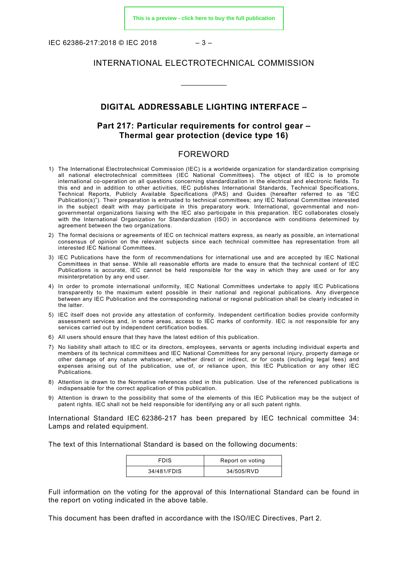IEC 62386-217:2018 © IEC 2018 – 3 –

#### INTERNATIONAL ELECTROTECHNICAL COMMISSION

\_\_\_\_\_\_\_\_\_\_\_\_

#### **DIGITAL ADDRESSABLE LIGHTING INTERFACE –**

#### **Part 217: Particular requirements for control gear – Thermal gear protection (device type 16)**

#### FOREWORD

- <span id="page-2-0"></span>1) The International Electrotechnical Commission (IEC) is a worldwide organization for standardization comprising all national electrotechnical committees (IEC National Committees). The object of IEC is to promote international co-operation on all questions concerning standardization in the electrical and electronic fields. To this end and in addition to other activities, IEC publishes International Standards, Technical Specifications, Technical Reports, Publicly Available Specifications (PAS) and Guides (hereafter referred to as "IEC Publication(s)"). Their preparation is entrusted to technical committees; any IEC National Committee interested in the subject dealt with may participate in this preparatory work. International, governmental and nongovernmental organizations liaising with the IEC also participate in this preparation. IEC collaborates closely with the International Organization for Standardization (ISO) in accordance with conditions determined by agreement between the two organizations.
- 2) The formal decisions or agreements of IEC on technical matters express, as nearly as possible, an international consensus of opinion on the relevant subjects since each technical committee has representation from all interested IEC National Committees.
- 3) IEC Publications have the form of recommendations for international use and are accepted by IEC National Committees in that sense. While all reasonable efforts are made to ensure that the technical content of IEC Publications is accurate, IEC cannot be held responsible for the way in which they are used or for any misinterpretation by any end user.
- 4) In order to promote international uniformity, IEC National Committees undertake to apply IEC Publications transparently to the maximum extent possible in their national and regional publications. Any divergence between any IEC Publication and the corresponding national or regional publication shall be clearly indicated in the latter.
- 5) IEC itself does not provide any attestation of conformity. Independent certification bodies provide conformity assessment services and, in some areas, access to IEC marks of conformity. IEC is not responsible for any services carried out by independent certification bodies.
- 6) All users should ensure that they have the latest edition of this publication.
- 7) No liability shall attach to IEC or its directors, employees, servants or agents including individual experts and members of its technical committees and IEC National Committees for any personal injury, property damage or other damage of any nature whatsoever, whether direct or indirect, or for costs (including legal fees) and expenses arising out of the publication, use of, or reliance upon, this IEC Publication or any other IEC Publications.
- 8) Attention is drawn to the Normative references cited in this publication. Use of the referenced publications is indispensable for the correct application of this publication.
- 9) Attention is drawn to the possibility that some of the elements of this IEC Publication may be the subject of patent rights. IEC shall not be held responsible for identifying any or all such patent rights.

International Standard IEC 62386-217 has been prepared by IEC technical committee 34: Lamps and related equipment.

The text of this International Standard is based on the following documents:

| <b>FDIS</b> | Report on voting |
|-------------|------------------|
| 34/481/FDIS | 34/505/RVD       |

Full information on the voting for the approval of this International Standard can be found in the report on voting indicated in the above table.

This document has been drafted in accordance with the ISO/IEC Directives, Part 2.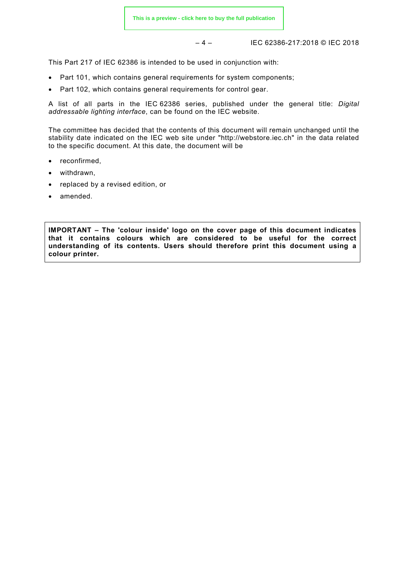– 4 – IEC 62386-217:2018 © IEC 2018

This Part 217 of IEC 62386 is intended to be used in conjunction with:

- Part 101, which contains general requirements for system components;
- Part 102, which contains general requirements for control gear.

A list of all parts in the IEC 62386 series, published under the general title: *Digital addressable lighting interface*, can be found on the IEC website.

The committee has decided that the contents of this document will remain unchanged until the stability date indicated on the IEC web site under "http://webstore.iec.ch" in the data related to the specific document. At this date, the document will be

- reconfirmed,
- withdrawn,
- replaced by a revised edition, or
- amended.

<span id="page-3-0"></span>**IMPORTANT – The 'colour inside' logo on the cover page of this document indicates that it contains colours which are considered to be useful for the correct understanding of its contents. Users should therefore print this document using a colour printer.**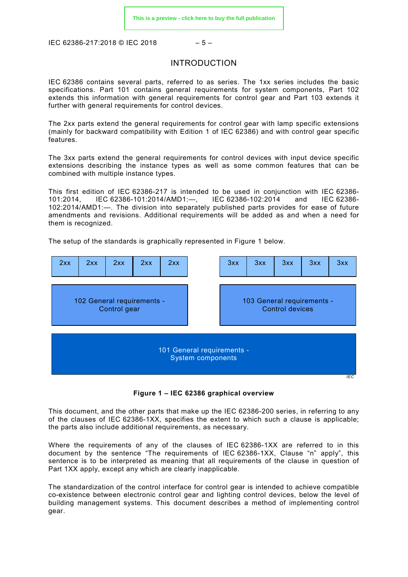IEC 62386-217:2018 © IEC 2018 – 5 –

#### INTRODUCTION

IEC 62386 contains several parts, referred to as series. The 1xx series includes the basic specifications. Part 101 contains general requirements for system components, Part 102 extends this information with general requirements for control gear and Part 103 extends it further with general requirements for control devices.

The 2xx parts extend the general requirements for control gear with lamp specific extensions (mainly for backward compatibility with Edition 1 of IEC 62386) and with control gear specific features.

The 3xx parts extend the general requirements for control devices with input device specific extensions describing the instance types as well as some common features that can be combined with multiple instance types.

This first edition of IEC 62386-217 is intended to be used in conjunction with IEC 62386- 101:2014, IEC 62386-101:2014/AMD1:—, IEC 62386-102:2014 and IEC 62386- 102:2014/AMD1:—. The division into separately published parts provides for ease of future amendments and revisions. Additional requirements will be added as and when a need for them is recognized.

The setup of the standards is graphically represented in [Figure 1](#page-4-0) below.



**Figure 1 – IEC 62386 graphical overview**

<span id="page-4-0"></span>This document, and the other parts that make up the IEC 62386-200 series, in referring to any of the clauses of IEC 62386-1XX, specifies the extent to which such a clause is applicable; the parts also include additional requirements, as necessary.

Where the requirements of any of the clauses of IEC 62386-1XX are referred to in this document by the sentence "The requirements of IEC 62386-1XX, Clause "n" apply", this sentence is to be interpreted as meaning that all requirements of the clause in question of Part 1XX apply, except any which are clearly inapplicable.

The standardization of the control interface for control gear is intended to achieve compatible co-existence between electronic control gear and lighting control devices, below the level of building management systems. This document describes a method of implementing control gear.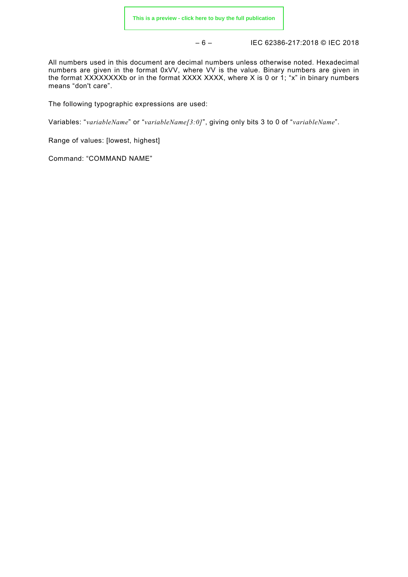– 6 – IEC 62386-217:2018 © IEC 2018

All numbers used in this document are decimal numbers unless otherwise noted. Hexadecimal numbers are given in the format 0xVV, where VV is the value. Binary numbers are given in the format XXXXXXXXb or in the format XXXX XXXX, where X is 0 or 1; "x" in binary numbers means "don't care".

The following typographic expressions are used:

Variables: "*variableName*" or "*variableName[3:0]*", giving only bits 3 to 0 of "*variableName*".

Range of values: [lowest, highest]

Command: "COMMAND NAME"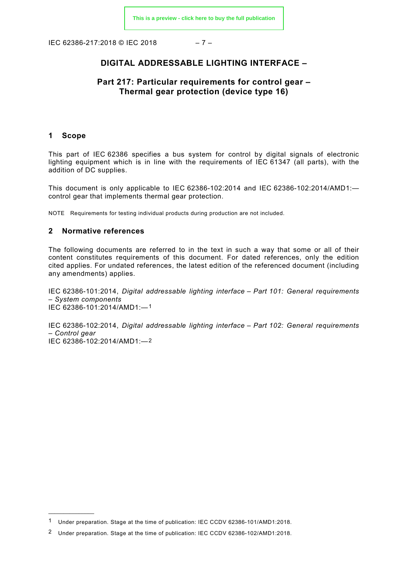IEC 62386-217:2018 © IEC 2018 – 7 –

### **DIGITAL ADDRESSABLE LIGHTING INTERFACE –**

#### **Part 217: Particular requirements for control gear – Thermal gear protection (device type 16)**

#### <span id="page-6-0"></span>**1 Scope**

 $\overline{\phantom{a}}$  , where  $\overline{\phantom{a}}$ 

This part of IEC 62386 specifies a bus system for control by digital signals of electronic lighting equipment which is in line with the requirements of IEC 61347 (all parts), with the addition of DC supplies.

This document is only applicable to IEC 62386-102:2014 and IEC 62386-102:2014/AMD1: control gear that implements thermal gear protection.

NOTE Requirements for testing individual products during production are not included.

#### <span id="page-6-1"></span>**2 Normative references**

The following documents are referred to in the text in such a way that some or all of their content constitutes requirements of this document. For dated references, only the edition cited applies. For undated references, the latest edition of the referenced document (including any amendments) applies.

IEC 62386-101:2014, *Digital addressable lighting interface – Part 101: General requirements – System components* IEC 62386-101:2014/AMD1:—[1](#page-6-3)

<span id="page-6-2"></span>IEC 62386-102:2014, *Digital addressable lighting interface – Part 102: General requirements – Control gear*  IEC 62386-102:2014/AMD1:—[2](#page-6-4)

<span id="page-6-3"></span><sup>1</sup> Under preparation. Stage at the time of publication: IEC CCDV 62386-101/AMD1:2018.

<span id="page-6-4"></span><sup>2</sup> Under preparation. Stage at the time of publication: IEC CCDV 62386-102/AMD1:2018.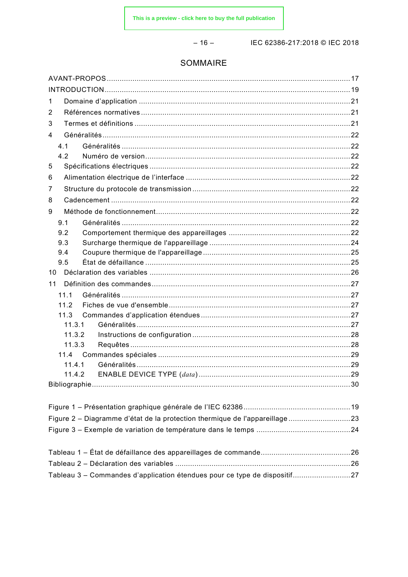$-16-$ 

IEC 62386-217:2018 © IEC 2018

### SOMMAIRE

| 1                                                                          |  |
|----------------------------------------------------------------------------|--|
| 2                                                                          |  |
| 3                                                                          |  |
| 4                                                                          |  |
| 4.1                                                                        |  |
| 4.2                                                                        |  |
| 5                                                                          |  |
| 6                                                                          |  |
| 7                                                                          |  |
| 8                                                                          |  |
| 9                                                                          |  |
| 9.1                                                                        |  |
| 9.2                                                                        |  |
| 9.3                                                                        |  |
| 9.4                                                                        |  |
| 9.5                                                                        |  |
| 10                                                                         |  |
| 11                                                                         |  |
| 11.1                                                                       |  |
| 11.2                                                                       |  |
| 11.3                                                                       |  |
| 11.3.1                                                                     |  |
| 11.3.2                                                                     |  |
| 11.3.3                                                                     |  |
|                                                                            |  |
| 11.4.1<br>11.4.2                                                           |  |
|                                                                            |  |
|                                                                            |  |
|                                                                            |  |
| Figure 2 - Diagramme d'état de la protection thermique de l'appareillage23 |  |
|                                                                            |  |
|                                                                            |  |
|                                                                            |  |
|                                                                            |  |
|                                                                            |  |

Tableau 3 - Commandes d'application étendues pour ce type de dispositif............................27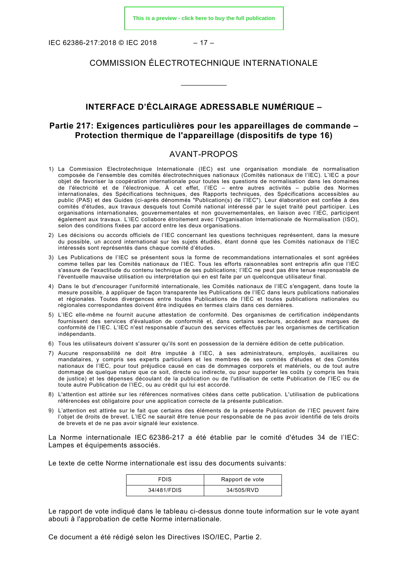IEC 62386-217:2018 © IEC 2018 – 17 –

#### COMMISSION ÉLECTROTECHNIQUE INTERNATIONALE

\_\_\_\_\_\_\_\_\_\_\_\_

#### **INTERFACE D'ÉCLAIRAGE ADRESSABLE NUMÉRIQUE –**

#### **Partie 217: Exigences particulières pour les appareillages de commande – Protection thermique de l'appareillage (dispositifs de type 16)**

#### AVANT-PROPOS

- <span id="page-8-0"></span>1) La Commission Electrotechnique Internationale (IEC) est une organisation mondiale de normalisation composée de l'ensemble des comités électrotechniques nationaux (Comités nationaux de l'IEC). L'IEC a pour objet de favoriser la coopération internationale pour toutes les questions de normalisation dans les domaines de l'électricité et de l'électronique. À cet effet, l'IEC – entre autres activités – publie des Normes internationales, des Spécifications techniques, des Rapports techniques, des Spécifications accessibles au public (PAS) et des Guides (ci-après dénommés "Publication(s) de l'IEC"). Leur élaboration est confiée à des comités d'études, aux travaux desquels tout Comité national intéressé par le sujet traité peut participer. Les organisations internationales, gouvernementales et non gouvernementales, en liaison avec l'IEC, participent également aux travaux. L'IEC collabore étroitement avec l'Organisation Internationale de Normalisation (ISO), selon des conditions fixées par accord entre les deux organisations.
- 2) Les décisions ou accords officiels de l'IEC concernant les questions techniques représentent, dans la mesure du possible, un accord international sur les sujets étudiés, étant donné que les Comités nationaux de l'IEC intéressés sont représentés dans chaque comité d'études.
- 3) Les Publications de l'IEC se présentent sous la forme de recommandations internationales et sont agréées comme telles par les Comités nationaux de l'IEC. Tous les efforts raisonnables sont entrepris afin que l'IEC s'assure de l'exactitude du contenu technique de ses publications; l'IEC ne peut pas être tenue responsable de l'éventuelle mauvaise utilisation ou interprétation qui en est faite par un quelconque utilisateur final.
- 4) Dans le but d'encourager l'uniformité internationale, les Comités nationaux de l'IEC s'engagent, dans toute la mesure possible, à appliquer de façon transparente les Publications de l'IEC dans leurs publications nationales et régionales. Toutes divergences entre toutes Publications de l'IEC et toutes publications nationales ou régionales correspondantes doivent être indiquées en termes clairs dans ces dernières.
- 5) L'IEC elle-même ne fournit aucune attestation de conformité. Des organismes de certification indépendants fournissent des services d'évaluation de conformité et, dans certains secteurs, accèdent aux marques de conformité de l'IEC. L'IEC n'est responsable d'aucun des services effectués par les organismes de certification indépendants.
- 6) Tous les utilisateurs doivent s'assurer qu'ils sont en possession de la dernière édition de cette publication.
- 7) Aucune responsabilité ne doit être imputée à l'IEC, à ses administrateurs, employés, auxiliaires ou mandataires, y compris ses experts particuliers et les membres de ses comités d'études et des Comités nationaux de l'IEC, pour tout préjudice causé en cas de dommages corporels et matériels, ou de tout autre dommage de quelque nature que ce soit, directe ou indirecte, ou pour supporter les coûts (y compris les frais de justice) et les dépenses découlant de la publication ou de l'utilisation de cette Publication de l'IEC ou de toute autre Publication de l'IEC, ou au crédit qui lui est accordé.
- 8) L'attention est attirée sur les références normatives citées dans cette publication. L'utilisation de publications référencées est obligatoire pour une application correcte de la présente publication.
- 9) L'attention est attirée sur le fait que certains des éléments de la présente Publication de l'IEC peuvent faire l'objet de droits de brevet. L'IEC ne saurait être tenue pour responsable de ne pas avoir identifié de tels droits de brevets et de ne pas avoir signalé leur existence.

La Norme internationale IEC 62386-217 a été établie par le comité d'études 34 de l'IEC: Lampes et équipements associés.

Le texte de cette Norme internationale est issu des documents suivants:

| <b>FDIS</b> | Rapport de vote |
|-------------|-----------------|
| 34/481/FDIS | 34/505/RVD      |

Le rapport de vote indiqué dans le tableau ci-dessus donne toute information sur le vote ayant abouti à l'approbation de cette Norme internationale.

Ce document a été rédigé selon les Directives ISO/IEC, Partie 2.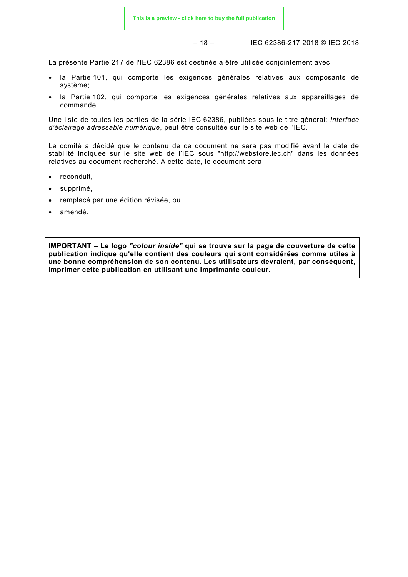$$
-18-
$$

– 18 – IEC 62386-217:2018 © IEC 2018

La présente Partie 217 de l'IEC 62386 est destinée à être utilisée conjointement avec:

- la Partie 101, qui comporte les exigences générales relatives aux composants de système;
- la Partie 102, qui comporte les exigences générales relatives aux appareillages de commande.

Une liste de toutes les parties de la série IEC 62386, publiées sous le titre général: *Interface d'éclairage adressable numérique*, peut être consultée sur le site web de l'IEC.

Le comité a décidé que le contenu de ce document ne sera pas modifié avant la date de stabilité indiquée sur le site web de l'IEC sous "http://webstore.iec.ch" dans les données relatives au document recherché. À cette date, le document sera

- reconduit,
- supprimé,
- remplacé par une édition révisée, ou
- amendé.

**IMPORTANT – Le logo** *"colour inside"* **qui se trouve sur la page de couverture de cette publication indique qu'elle contient des couleurs qui sont considérées comme utiles à une bonne compréhension de son contenu. Les utilisateurs devraient, par conséquent, imprimer cette publication en utilisant une imprimante couleur.**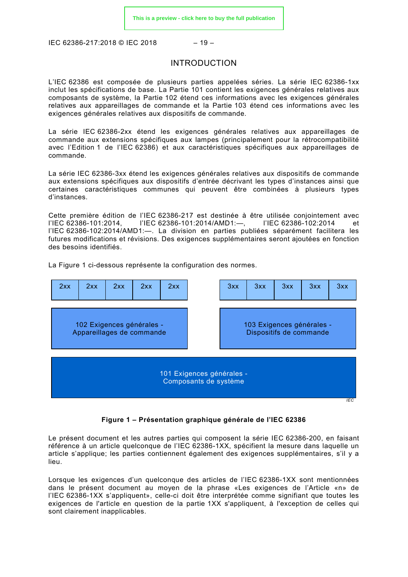<span id="page-10-0"></span>IEC 62386-217:2018 © IEC 2018 – 19 –

#### INTRODUCTION

L'IEC 62386 est composée de plusieurs parties appelées séries. La série IEC 62386-1xx inclut les spécifications de base. La Partie 101 contient les exigences générales relatives aux composants de système, la Partie 102 étend ces informations avec les exigences générales relatives aux appareillages de commande et la Partie 103 étend ces informations avec les exigences générales relatives aux dispositifs de commande.

La série IEC 62386-2xx étend les exigences générales relatives aux appareillages de commande aux extensions spécifiques aux lampes (principalement pour la rétrocompatibilité avec l'Edition 1 de l'IEC 62386) et aux caractéristiques spécifiques aux appareillages de commande.

La série IEC 62386-3xx étend les exigences générales relatives aux dispositifs de commande aux extensions spécifiques aux dispositifs d'entrée décrivant les types d'instances ainsi que certaines caractéristiques communes qui peuvent être combinées à plusieurs types d'instances.

Cette première édition de l'IEC 62386-217 est destinée à être utilisée conjointement avec l'IEC 62386-101:2014, l'IEC 62386-101:2014/AMD1:—, l'IEC 62386-102:2014 et l'IEC 62386-102:2014/AMD1:—. La division en parties publiées séparément facilitera les futures modifications et révisions. Des exigences supplémentaires seront ajoutées en fonction des besoins identifiés.

101 Exigences générales - Composants de système 103 Exigences générales - Dispositifs de commande 102 Exigences générales - Appareillages de commande 2xx | 2xx | 2xx | 2xx | 2xx | | 3xx | 3xx | 3xx | 3xx | 3xx

La [Figure 1](#page-10-1) ci-dessous représente la configuration des normes.

#### **Figure 1 – Présentation graphique générale de l'IEC 62386**

*IEC*

<span id="page-10-1"></span>Le présent document et les autres parties qui composent la série IEC 62386-200, en faisant référence à un article quelconque de l'IEC 62386-1XX, spécifient la mesure dans laquelle un article s'applique; les parties contiennent également des exigences supplémentaires, s'il y a lieu.

Lorsque les exigences d'un quelconque des articles de l'IEC 62386-1XX sont mentionnées dans le présent document au moyen de la phrase «Les exigences de l'Article «n» de l'IEC 62386-1XX s'appliquent», celle-ci doit être interprétée comme signifiant que toutes les exigences de l'article en question de la partie 1XX s'appliquent, à l'exception de celles qui sont clairement inapplicables.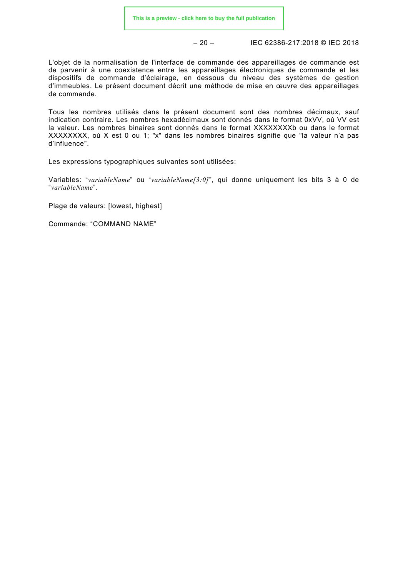– 20 – IEC 62386-217:2018 © IEC 2018

L'objet de la normalisation de l'interface de commande des appareillages de commande est de parvenir à une coexistence entre les appareillages électroniques de commande et les dispositifs de commande d'éclairage, en dessous du niveau des systèmes de gestion d'immeubles. Le présent document décrit une méthode de mise en œuvre des appareillages de commande.

Tous les nombres utilisés dans le présent document sont des nombres décimaux, sauf indication contraire. Les nombres hexadécimaux sont donnés dans le format 0xVV, où VV est la valeur. Les nombres binaires sont donnés dans le format XXXXXXXXb ou dans le format XXXXXXXX, où X est 0 ou 1; "x" dans les nombres binaires signifie que "la valeur n'a pas d'influence".

Les expressions typographiques suivantes sont utilisées:

Variables: "*variableName*" ou "*variableName[3:0]*", qui donne uniquement les bits 3 à 0 de "*variableName*".

Plage de valeurs: [lowest, highest]

Commande: "COMMAND NAME"